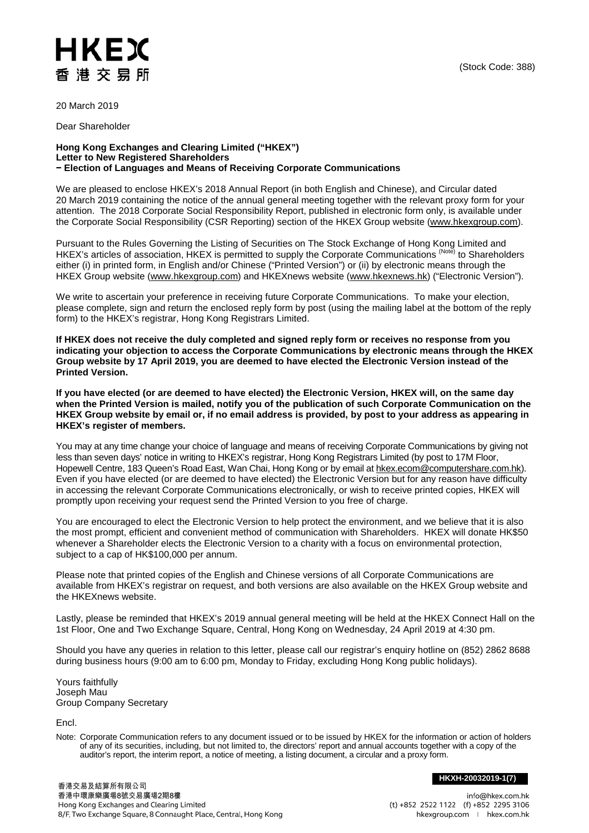## HKEX 香港交易所

20 March 2019

Dear Shareholder

## **Hong Kong Exchanges and Clearing Limited ("HKEX") Letter to New Registered Shareholders − Election of Languages and Means of Receiving Corporate Communications**

We are pleased to enclose HKEX's 2018 Annual Report (in both English and Chinese), and Circular dated 20 March 2019 containing the notice of the annual general meeting together with the relevant proxy form for your attention. The 2018 Corporate Social Responsibility Report, published in electronic form only, is available under the Corporate Social Responsibility (CSR Reporting) section of the HKEX Group website [\(www.hkexgroup.com\)](http://www.hkexgroup.com/).

Pursuant to the Rules Governing the Listing of Securities on The Stock Exchange of Hong Kong Limited and HKEX's articles of association, HKEX is permitted to supply the Corporate Communications (Note) to Shareholders either (i) in printed form, in English and/or Chinese ("Printed Version") or (ii) by electronic means through the HKEX Group website [\(www.hkexgroup.com\)](http://www.hkexgroup.com/) and HKEXnews website [\(www.hkexnews.hk\)](http://www.hkexnews.hk/) ("Electronic Version").

We write to ascertain your preference in receiving future Corporate Communications. To make your election, please complete, sign and return the enclosed reply form by post (using the mailing label at the bottom of the reply form) to the HKEX's registrar, Hong Kong Registrars Limited.

**If HKEX does not receive the duly completed and signed reply form or receives no response from you indicating your objection to access the Corporate Communications by electronic means through the HKEX Group website by 17 April 2019, you are deemed to have elected the Electronic Version instead of the Printed Version.** 

**If you have elected (or are deemed to have elected) the Electronic Version, HKEX will, on the same day when the Printed Version is mailed, notify you of the publication of such Corporate Communication on the HKEX Group website by email or, if no email address is provided, by post to your address as appearing in HKEX's register of members.**

You may at any time change your choice of language and means of receiving Corporate Communications by giving not less than seven days' notice in writing to HKEX's registrar, Hong Kong Registrars Limited (by post to 17M Floor, Hopewell Centre, 183 Queen's Road East, Wan Chai, Hong Kong or by email at [hkex.ecom@computershare.com.hk\)](mailto:hkex.ecom@computershare.com.hk). Even if you have elected (or are deemed to have elected) the Electronic Version but for any reason have difficulty in accessing the relevant Corporate Communications electronically, or wish to receive printed copies, HKEX will promptly upon receiving your request send the Printed Version to you free of charge.

You are encouraged to elect the Electronic Version to help protect the environment, and we believe that it is also the most prompt, efficient and convenient method of communication with Shareholders. HKEX will donate HK\$50 whenever a Shareholder elects the Electronic Version to a charity with a focus on environmental protection, subject to a cap of HK\$100,000 per annum.

Please note that printed copies of the English and Chinese versions of all Corporate Communications are available from HKEX's registrar on request, and both versions are also available on the HKEX Group website and the HKEXnews website.

Lastly, please be reminded that HKEX's 2019 annual general meeting will be held at the HKEX Connect Hall on the 1st Floor, One and Two Exchange Square, Central, Hong Kong on Wednesday, 24 April 2019 at 4:30 pm.

Should you have any queries in relation to this letter, please call our registrar's enquiry hotline on (852) 2862 8688 during business hours (9:00 am to 6:00 pm, Monday to Friday, excluding Hong Kong public holidays).

Yours faithfully Joseph Mau Group Company Secretary

Encl.

Note: Corporate Communication refers to any document issued or to be issued by HKEX for the information or action of holders of any of its securities, including, but not limited to, the directors' report and annual accounts together with a copy of the auditor's report, the interim report, a notice of meeting, a listing document, a circular and a proxy form.

**HKXH-20032019-1(7)**

info@hkex.com.hk (t) +852 2522 1122 (f) +852 2295 3106 hkexgroup.com | hkex.com.hk